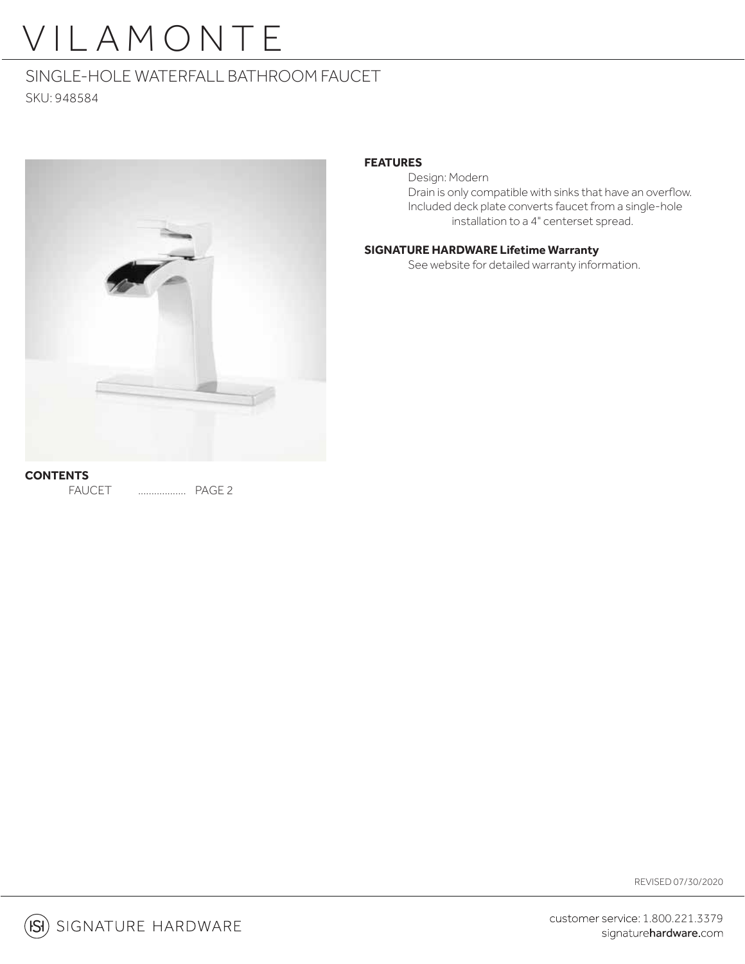# VILAMONTE

### SINGLE-HOLE WATERFALL BATHROOM FAUCET

SKU: 948584



#### **FEATURES**

Design: Modern Drain is only compatible with sinks that have an overflow. Included deck plate converts faucet from a single-hole installation to a 4" centerset spread.

#### **SIGNATURE HARDWARE Lifetime Warranty**

See website for detailed warranty information.

**CONTENTS** FAUCET .................. PAGE 2

REVISED 07/30/2020